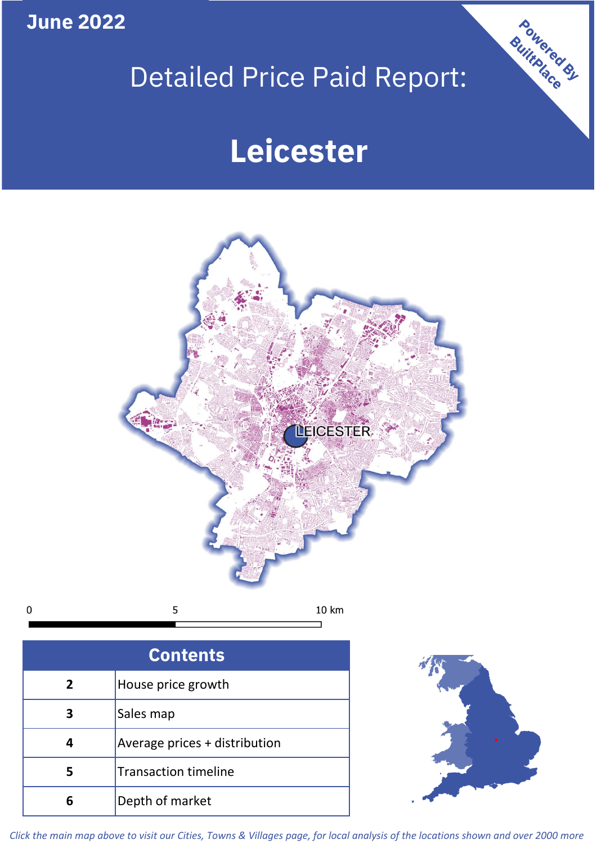**June 2022**

# Detailed Price Paid Report:

# **Leicester**



| ,<br>ı |  |  |
|--------|--|--|
|        |  |  |

| <b>Contents</b>                      |                               |  |  |  |
|--------------------------------------|-------------------------------|--|--|--|
| House price growth<br>$\overline{2}$ |                               |  |  |  |
| 3                                    | Sales map                     |  |  |  |
| 4                                    | Average prices + distribution |  |  |  |
| 5                                    | <b>Transaction timeline</b>   |  |  |  |
|                                      | Depth of market               |  |  |  |



Powered By

*Click the main map above to visit our Cities, Towns & Villages page, for local analysis of the locations shown and over 2000 more*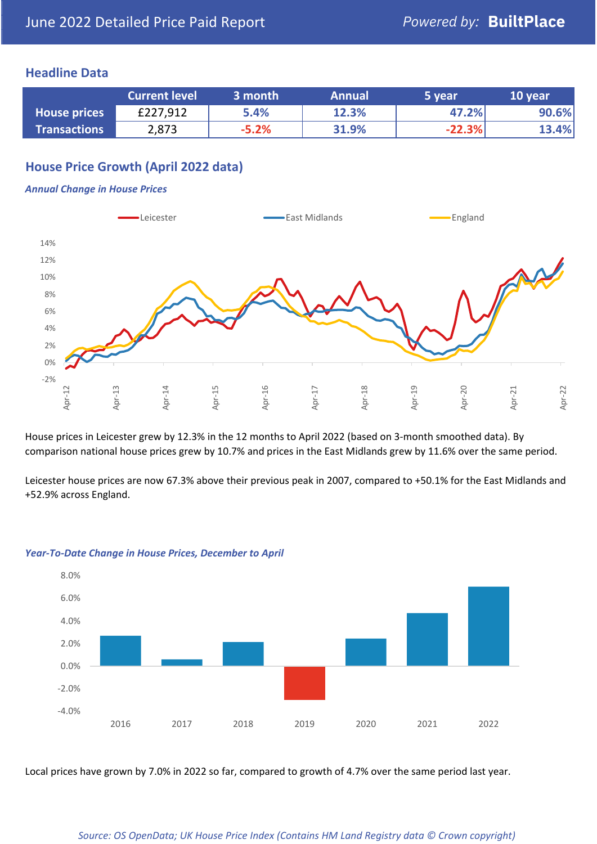### **Headline Data**

|                     | <b>Current level</b> | 3 month | <b>Annual</b> | 5 year   | 10 year |
|---------------------|----------------------|---------|---------------|----------|---------|
| <b>House prices</b> | £227,912             | 5.4%    | 12.3%         | 47.2%    | 90.6%   |
| <b>Transactions</b> | 2,873                | $-5.2%$ | 31.9%         | $-22.3%$ | 13.4%   |

## **House Price Growth (April 2022 data)**

#### *Annual Change in House Prices*



House prices in Leicester grew by 12.3% in the 12 months to April 2022 (based on 3-month smoothed data). By comparison national house prices grew by 10.7% and prices in the East Midlands grew by 11.6% over the same period.

Leicester house prices are now 67.3% above their previous peak in 2007, compared to +50.1% for the East Midlands and +52.9% across England.



#### *Year-To-Date Change in House Prices, December to April*

Local prices have grown by 7.0% in 2022 so far, compared to growth of 4.7% over the same period last year.

#### *Source: OS OpenData; UK House Price Index (Contains HM Land Registry data © Crown copyright)*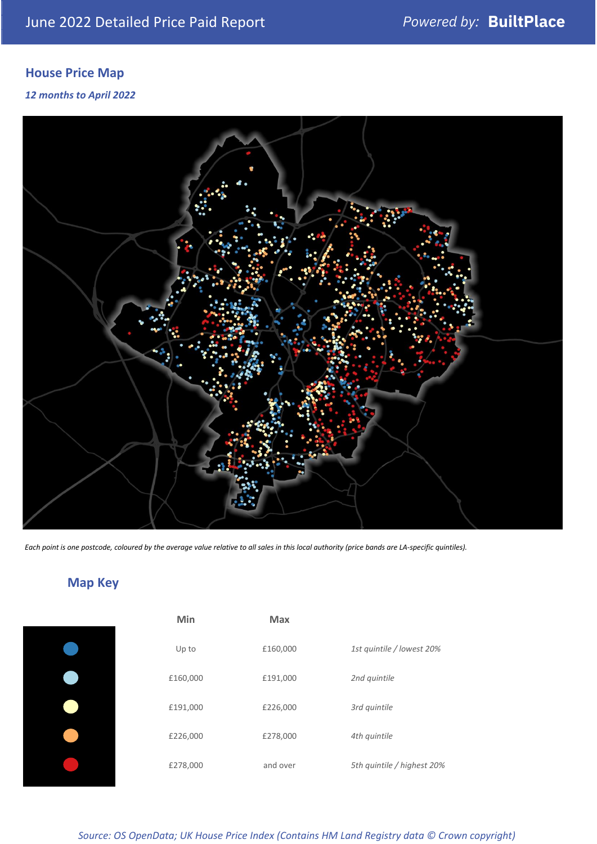# **House Price Map**

*12 months to April 2022*



*Each point is one postcode, coloured by the average value relative to all sales in this local authority (price bands are LA-specific quintiles).*

# **Map Key**

| Min      | Max      |                            |
|----------|----------|----------------------------|
| Up to    | £160,000 | 1st quintile / lowest 20%  |
| £160,000 | £191,000 | 2nd quintile               |
| £191,000 | £226,000 | 3rd quintile               |
| £226,000 | £278,000 | 4th quintile               |
| £278,000 | and over | 5th quintile / highest 20% |

*Source: OS OpenData; UK House Price Index (Contains HM Land Registry data © Crown copyright)*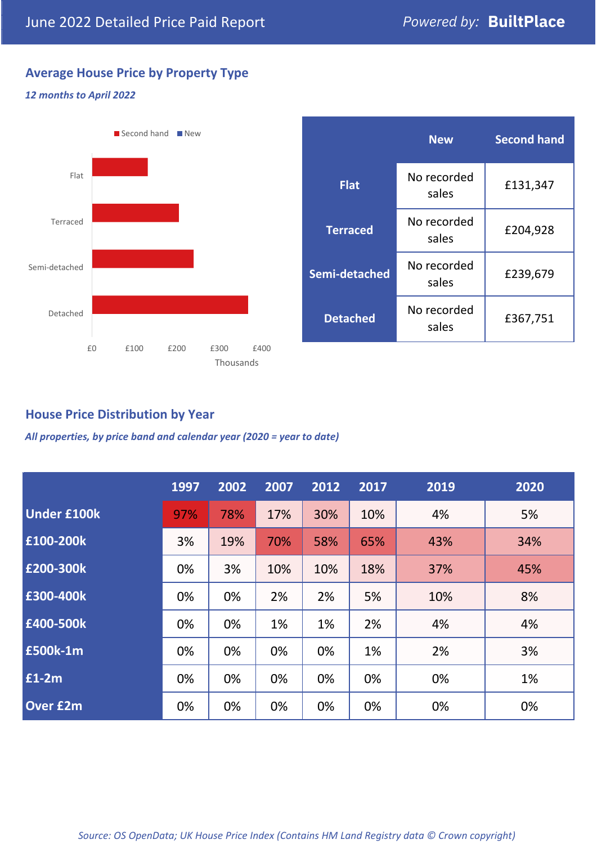# **Average House Price by Property Type**

#### *12 months to April 2022*



|                 | <b>New</b>                       | <b>Second hand</b> |  |  |
|-----------------|----------------------------------|--------------------|--|--|
| <b>Flat</b>     | No recorded<br>sales             | £131,347           |  |  |
| <b>Terraced</b> | No recorded<br>£204,928<br>sales |                    |  |  |
| Semi-detached   | No recorded<br>sales             | £239,679           |  |  |
| <b>Detached</b> | No recorded<br>sales             | £367,751           |  |  |

## **House Price Distribution by Year**

*All properties, by price band and calendar year (2020 = year to date)*

|                    | 1997 | 2002 | 2007 | 2012 | 2017 | 2019 | 2020 |
|--------------------|------|------|------|------|------|------|------|
| <b>Under £100k</b> | 97%  | 78%  | 17%  | 30%  | 10%  | 4%   | 5%   |
| £100-200k          | 3%   | 19%  | 70%  | 58%  | 65%  | 43%  | 34%  |
| E200-300k          | 0%   | 3%   | 10%  | 10%  | 18%  | 37%  | 45%  |
| £300-400k          | 0%   | 0%   | 2%   | 2%   | 5%   | 10%  | 8%   |
| £400-500k          | 0%   | 0%   | 1%   | 1%   | 2%   | 4%   | 4%   |
| <b>£500k-1m</b>    | 0%   | 0%   | 0%   | 0%   | 1%   | 2%   | 3%   |
| £1-2m              | 0%   | 0%   | 0%   | 0%   | 0%   | 0%   | 1%   |
| <b>Over £2m</b>    | 0%   | 0%   | 0%   | 0%   | 0%   | 0%   | 0%   |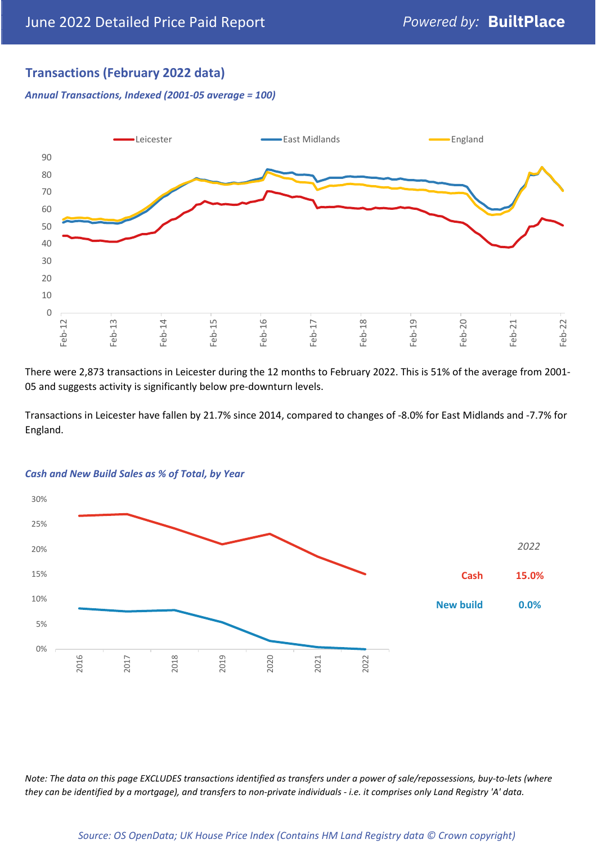## **Transactions (February 2022 data)**

*Annual Transactions, Indexed (2001-05 average = 100)*



There were 2,873 transactions in Leicester during the 12 months to February 2022. This is 51% of the average from 2001- 05 and suggests activity is significantly below pre-downturn levels.

Transactions in Leicester have fallen by 21.7% since 2014, compared to changes of -8.0% for East Midlands and -7.7% for England.



#### *Cash and New Build Sales as % of Total, by Year*

*Note: The data on this page EXCLUDES transactions identified as transfers under a power of sale/repossessions, buy-to-lets (where they can be identified by a mortgage), and transfers to non-private individuals - i.e. it comprises only Land Registry 'A' data.*